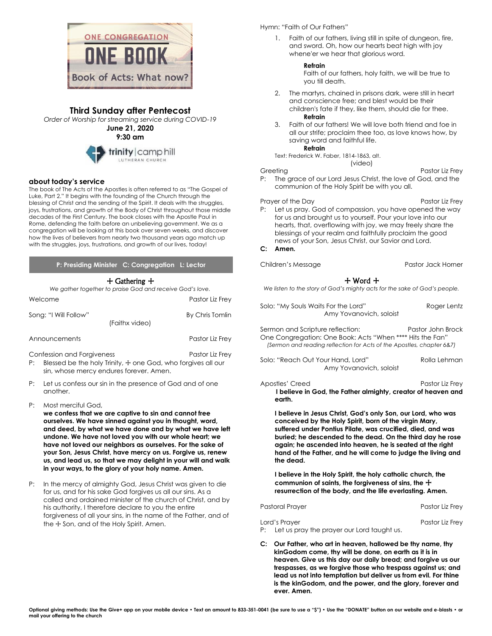

# **Third Sunday after Pentecost**

*Order of Worship for streaming service during COVID-19*

**June 21, 2020 9:30 am**



# **about today's service**

The book of The Acts of the Apostles is often referred to as "The Gospel of Luke, Part 2." It begins with the founding of the Church through the blessing of Christ and the sending of the Spirit. It deals with the struggles, joys, frustrations, and growth of the Body of Christ throughout those middle decades of the First Century. The book closes with the Apostle Paul in Rome, defending the faith before an unbelieving government. We as a congregation will be looking at this book over seven weeks, and discover how the lives of believers from nearly two thousand years ago match up with the struggles, joys, frustrations, and growth of our lives, today!

### **P: Presiding Minister C: Congregation L: Lector**

# + Gathering +

| We gather together to praise God and receive God's love. |                                                                                 |  |
|----------------------------------------------------------|---------------------------------------------------------------------------------|--|
| Welcome                                                  | Pastor Liz Frey                                                                 |  |
| Song: "I Will Follow"                                    | By Chris Tomlin<br>(Faithx video)                                               |  |
| Announcements                                            | Pastor Liz Frey                                                                 |  |
| Confession and Forgiveness<br>P:                         | Pastor Liz Frey<br>Blessed be the holy Trinity, + one God, who forgives all our |  |

- sin, whose mercy endures forever. Amen.
- P: Let us confess our sin in the presence of God and of one another.
- P: Most merciful God,
	- **we confess that we are captive to sin and cannot free ourselves. We have sinned against you in thought, word, and deed, by what we have done and by what we have left undone. We have not loved you with our whole heart; we have not loved our neighbors as ourselves. For the sake of your Son, Jesus Christ, have mercy on us. Forgive us, renew us, and lead us, so that we may delight in your will and walk in your ways, to the glory of your holy name. Amen.**
- P: In the mercy of almighty God, Jesus Christ was given to die for us, and for his sake God forgives us all our sins. As a called and ordained minister of the church of Christ, and by his authority, I therefore declare to you the entire forgiveness of all your sins, in the name of the Father, and of the  $\pm$  Son, and of the Holy Spirit. Amen.

# Hymn: "Faith of Our Fathers"

1. Faith of our fathers, living still in spite of dungeon, fire, and sword. Oh, how our hearts beat high with joy whene'er we hear that glorious word.

### **Refrain**

Faith of our fathers, holy faith, we will be true to you till death.

- 2. The martyrs, chained in prisons dark, were still in heart and conscience free; and blest would be their children's fate if they, like them, should die for thee. **Refrain**
- 3. Faith of our fathers! We will love both friend and foe in all our strife; proclaim thee too, as love knows how, by saving word and faithful life.

**Refrain**

Text: Frederick W. Faber, 1814-1863, alt. (video)

Greeting **Pastor Liz Frey** P: The grace of our Lord Jesus Christ, the love of God, and the communion of the Holy Spirit be with you all.

#### Prayer of the Day Prayer of the Day P: Let us pray. God of compassion, you have opened the way for us and brought us to yourself. Pour your love into our hearts, that, overflowing with joy, we may freely share the blessings of your realm and faithfully proclaim the good news of your Son, Jesus Christ, our Savior and Lord.

### **C: Amen.**

Children's Message **Pastor Jack Horner** Pastor Jack Horner

# + Word +

*We listen to the story of God's mighty acts for the sake of God's people.*

Solo: "My Souls Waits For the Lord" Roger Lentz Amy Yovanovich, soloist

Sermon and Scripture reflection: Pastor John Brock One Congregation: One Book: Acts "When \*\*\*\* Hits the Fan" *(Sermon and reading reflection for Acts of the Apostles, chapter 6&7)*

Solo: "Reach Out Your Hand, Lord" Rolla Lehman Amy Yovanovich, soloist

Apostles' Creed Pastor Liz Frey **I believe in God, the Father almighty, creator of heaven and earth.**

**I believe in Jesus Christ, God's only Son, our Lord, who was conceived by the Holy Spirit, born of the virgin Mary, suffered under Pontius Pilate, was crucified, died, and was buried; he descended to the dead. On the third day he rose again; he ascended into heaven, he is seated at the right hand of the Father, and he will come to judge the living and the dead.**

**I believe in the Holy Spirit, the holy catholic church, the**  communion of saints, the forgiveness of sins, the  $+$ **resurrection of the body, and the life everlasting. Amen.**

Pastoral Prayer Pastor Liz Frey

| Lord's Prayer                                 | Pastor Liz Frey |
|-----------------------------------------------|-----------------|
| P: Let us pray the prayer our Lord taught us. |                 |

**C: Our Father, who art in heaven, hallowed be thy name, thy kinGodom come, thy will be done, on earth as it is in heaven. Give us this day our daily bread; and forgive us our trespasses, as we forgive those who trespass against us; and lead us not into temptation but deliver us from evil. For thine is the kinGodom, and the power, and the glory, forever and ever. Amen.**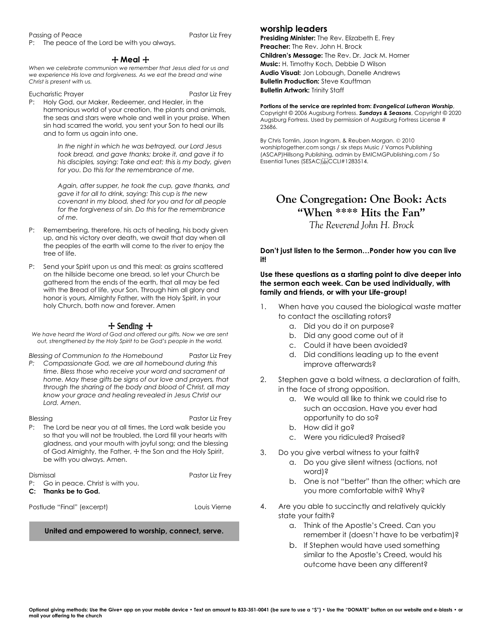#### Passing of Peace Pastor Liz Frey

P: The peace of the Lord be with you always.

# + **Meal** +

*When we celebrate communion we remember that Jesus died for us and we experience His love and forgiveness. As we eat the bread and wine Christ is present with us.*

Eucharistic Prayer **Pastor Liz Frey** 

P: Holy God, our Maker, Redeemer, and Healer, in the harmonious world of your creation, the plants and animals, the seas and stars were whole and well in your praise. When sin had scarred the world, you sent your Son to heal our ills and to form us again into one.

> *In the night in which he was betrayed, our Lord Jesus took bread, and gave thanks; broke it, and gave it to his disciples, saying: Take and eat; this is my body, given for you. Do this for the remembrance of me.*

*Again, after supper, he took the cup, gave thanks, and gave it for all to drink, saying: This cup is the new covenant in my blood, shed for you and for all people for the forgiveness of sin. Do this for the remembrance of me.*

- P: Remembering, therefore, his acts of healing, his body given up, and his victory over death, we await that day when all the peoples of the earth will come to the river to enjoy the tree of life.
- P: Send your Spirit upon us and this meal: as grains scattered on the hillside become one bread, so let your Church be gathered from the ends of the earth, that all may be fed with the Bread of life, your Son. Through him all glory and honor is yours, Almighty Father, with the Holy Spirit, in your holy Church, both now and forever. Amen

# + Sending +

*We have heard the Word of God and offered our gifts. Now we are sent out, strengthened by the Holy Spirit to be God's people in the world.*

*Blessing of Communion to the Homebound* Pastor Liz Frey

*P: Compassionate God, we are all homebound during this time. Bless those who receive your word and sacrament at home. May these gifts be signs of our love and prayers, that through the sharing of the body and blood of Christ, all may know your grace and healing revealed in Jesus Christ our Lord. Amen.*

Blessing Pastor Liz Frey

P: The Lord be near you at all times, the Lord walk beside you so that you will not be troubled, the Lord fill your hearts with gladness, and your mouth with joyful song; and the blessing of God Almighty, the Father,  $\pm$  the Son and the Holy Spirit, be with you always. Amen.

| Dismissal                             | <b>Pastor Liz Frev</b> |
|---------------------------------------|------------------------|
| $P:$ Go in peace. Christ is with you. |                        |
| C: Thanks be to God.                  |                        |

Postlude "Final" (excerpt) Louis Vierne

# **United and empowered to worship, connect, serve.**

# **worship leaders**

**Presiding Minister:** The Rev. Elizabeth E. Frey **Preacher:** The Rev. John H. Brock **Children's Message:** The Rev. Dr. Jack M. Horner **Music:** H. Timothy Koch, Debbie D Wilson **Audio Visual:** Jon Lobaugh, Danelle Andrews **Bulletin Production:** Steve Kauffman **Bulletin Artwork:** Trinity Staff

#### **Portions of the service are reprinted from:** *Evangelical Lutheran Worship*, Copyright © 2006 Augsburg Fortress. *Sundays & Seasons*, Copyright © 2020 Augsburg Fortress. Used by permission of Augsburg Fortress License # 23686.

By Chris Tomlin, Jason Ingram, & Reuben Morgan. © 2010 worshiptogether.com songs / six steps Music / Vamos Publishing (ASCAP)Hillsong Publishing, admin by EMICMGPublishing.com / So Essential Tunes (SESAC) EPCCLI#1283514.

# **One Congregation: One Book: Acts "When \*\*\*\* Hits the Fan"**

*The Reverend John H. Brock*

**Don't just listen to the Sermon…Ponder how you can live it!**

# **Use these questions as a starting point to dive deeper into the sermon each week. Can be used individually, with family and friends, or with your Life-group!**

- 1. When have you caused the biological waste matter to contact the oscillating rotors?
	- a. Did you do it on purpose?
	- b. Did any good come out of it
	- c. Could it have been avoided?
	- d. Did conditions leading up to the event improve afterwards?
- 2. Stephen gave a bold witness, a declaration of faith, in the face of strong opposition.
	- a. We would all like to think we could rise to such an occasion. Have you ever had opportunity to do so?
	- b. How did it go?
	- c. Were you ridiculed? Praised?
- 3. Do you give verbal witness to your faith?
	- a. Do you give silent witness (actions, not word)?
	- b. One is not "better" than the other; which are you more comfortable with? Why?
- 4. Are you able to succinctly and relatively quickly state your faith?
	- a. Think of the Apostle's Creed. Can you remember it (doesn't have to be verbatim)?
	- b. If Stephen would have used something similar to the Apostle's Creed, would his outcome have been any different?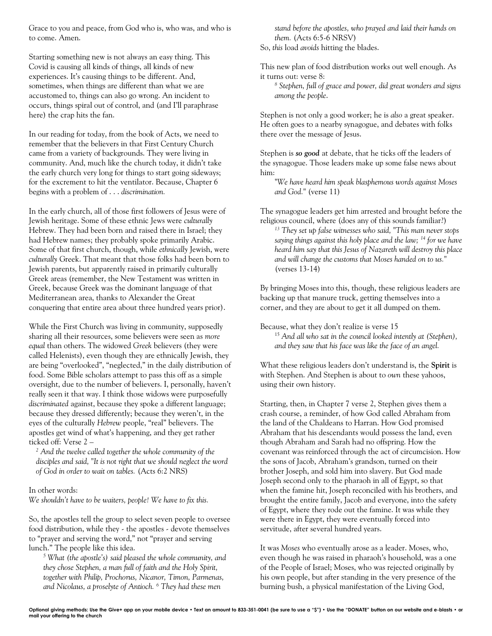Grace to you and peace, from God who is, who was, and who is to come. Amen.

Starting something new is not always an easy thing. This Covid is causing all kinds of things, all kinds of new experiences. It's causing things to be different. And, sometimes, when things are different than what we are accustomed to, things can also go wrong. An incident to occurs, things spiral out of control, and (and I'll paraphrase here) the crap hits the fan.

In our reading for today, from the book of Acts, we need to remember that the believers in that First Century Church came from a variety of backgrounds. They were living in community. And, much like the church today, it didn't take the early church very long for things to start going sideways; for the excrement to hit the ventilator. Because, Chapter 6 begins with a problem of . . . *discrimination.*

In the early church, all of those first followers of Jesus were of Jewish heritage. Some of these ethnic Jews were *culturally*  Hebrew. They had been born and raised there in Israel; they had Hebrew names; they probably spoke primarily Arabic. Some of that first church, though, while *ethnically* Jewish, were *culturally* Greek. That meant that those folks had been born to Jewish parents, but apparently raised in primarily culturally Greek areas (remember, the New Testament was written in Greek, because Greek was the dominant language of that Mediterranean area, thanks to Alexander the Great conquering that entire area about three hundred years prior).

While the First Church was living in community, supposedly sharing all their resources, some believers were seen as *more equal* than others. The widowed *Greek* believers (they were called Helenists), even though they are ethnically Jewish, they are being "overlooked", "neglected," in the daily distribution of food. Some Bible scholars attempt to pass this off as a simple oversight, due to the number of believers. I, personally, haven't really seen it that way. I think those widows were purposefully *discriminated* against, because they spoke a different language; because they dressed differently; because they weren't, in the eyes of the culturally *Hebrew* people, "real" believers. The apostles get wind of what's happening, and they get rather ticked off: Verse 2 –

*<sup>2</sup> And the twelve called together the whole community of the disciples and said, "It is not right that we should neglect the word of God in order to wait on tables.* (Acts 6:2 NRS)

# In other words:

*We shouldn't have to be waiters, people! We have to fix this.*

So, the apostles tell the group to select seven people to oversee food distribution, while they - the apostles - devote themselves to "prayer and serving the word," not "prayer and serving lunch." The people like this idea.

*<sup>5</sup> What (the apostle's) said pleased the whole community, and they chose Stephen, a man full of faith and the Holy Spirit, together with Philip, Prochorus, Nicanor, Timon, Parmenas, and Nicolaus, a proselyte of Antioch. <sup>6</sup> They had these men* 

*stand before the apostles, who prayed and laid their hands on them.* (Acts 6:5-6 NRSV)

So, *this* load *avoids* hitting the blades.

This new plan of food distribution works out well enough. As it turns out: verse 8:

*<sup>8</sup> Stephen, full of grace and power, did great wonders and signs among the people*.

Stephen is not only a good worker; he is *also* a great speaker. He often goes to a nearby synagogue, and debates with folks there over the message of Jesus.

Stephen is *so good* at debate, that he ticks off the leaders of the synagogue. Those leaders make up some false news about him:

*"We have heard him speak blasphemous words against Moses and God."* (verse 11)

The synagogue leaders get him arrested and brought before the religious council, where (does any of this sounds familiar?)

*<sup>13</sup> They set up false witnesses who said, "This man never stops saying things against this holy place and the law; <sup>14</sup> for we have heard him say that this Jesus of Nazareth will destroy this place and will change the customs that Moses handed on to us.*" (verses 13-14)

By bringing Moses into this, though, these religious leaders are backing up that manure truck, getting themselves into a corner, and they are about to get it all dumped on them.

Because, what they don't realize is verse 15

<sup>15</sup> *And all who sat in the council looked intently at (Stephen), and they saw that his face was like the face of an angel.*

What these religious leaders don't understand is, the **Spirit** is with Stephen. And Stephen is about to *own* these yahoos, using their own history.

Starting, then, in Chapter 7 verse 2, Stephen gives them a crash course, a reminder, of how God called Abraham from the land of the Chaldeans to Harran. How God promised Abraham that his descendants would possess the land, even though Abraham and Sarah had no offspring. How the covenant was reinforced through the act of circumcision. How the sons of Jacob, Abraham's grandson, turned on their brother Joseph, and sold him into slavery. But God made Joseph second only to the pharaoh in all of Egypt, so that when the famine hit, Joseph reconciled with his brothers, and brought the entire family, Jacob and everyone, into the safety of Egypt, where they rode out the famine. It was while they were there in Egypt, they were eventually forced into servitude, after several hundred years.

It was *Moses* who eventually arose as a leader. Moses, who, even though he was raised in pharaoh's household, was a one of the People of Israel; Moses, who was rejected originally by his own people, but after standing in the very presence of the burning bush, a physical manifestation of the Living God,